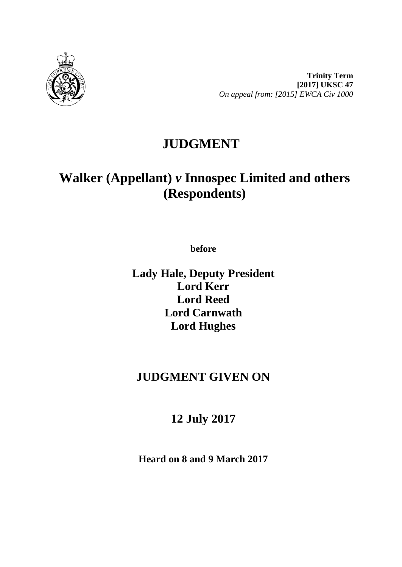

**Trinity Term [2017] UKSC 47** *On appeal from: [2015] EWCA Civ 1000*

# **JUDGMENT**

# **Walker (Appellant)** *v* **Innospec Limited and others (Respondents)**

**before** 

**Lady Hale, Deputy President Lord Kerr Lord Reed Lord Carnwath Lord Hughes**

## **JUDGMENT GIVEN ON**

## **12 July 2017**

**Heard on 8 and 9 March 2017**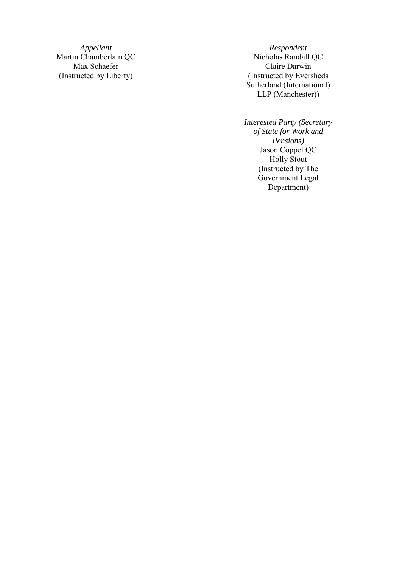Martin Chamberlain QC Nicholas Randall QC Max Schaefer (Instructed by Liberty

*Appellant Respondent* ) (Instructed by Eversheds Sutherland (International) LLP (Manchester) )

> *Interested Party (Secretary of State for Work and Pensions)* Jason Coppel QC Holly Stout (Instructed by The Government Legal Department )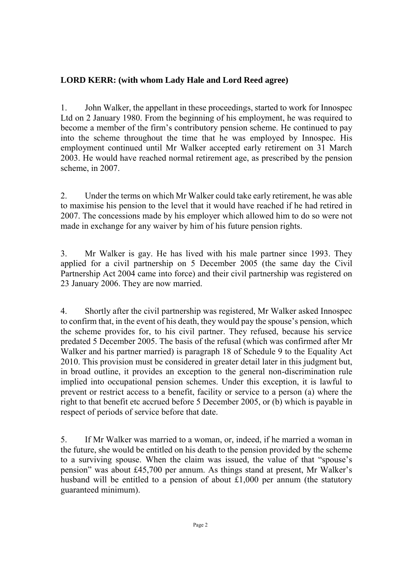### **LORD KERR: (with whom Lady Hale and Lord Reed agree)**

1. John Walker, the appellant in these proceedings, started to work for Innospec Ltd on 2 January 1980. From the beginning of his employment, he was required to become a member of the firm's contributory pension scheme. He continued to pay into the scheme throughout the time that he was employed by Innospec. His employment continued until Mr Walker accepted early retirement on 31 March 2003. He would have reached normal retirement age, as prescribed by the pension scheme, in 2007.

2. Under the terms on which Mr Walker could take early retirement, he was able to maximise his pension to the level that it would have reached if he had retired in 2007. The concessions made by his employer which allowed him to do so were not made in exchange for any waiver by him of his future pension rights.

3. Mr Walker is gay. He has lived with his male partner since 1993. They applied for a civil partnership on 5 December 2005 (the same day the Civil Partnership Act 2004 came into force) and their civil partnership was registered on 23 January 2006. They are now married.

4. Shortly after the civil partnership was registered, Mr Walker asked Innospec to confirm that, in the event of his death, they would pay the spouse's pension, which the scheme provides for, to his civil partner. They refused, because his service predated 5 December 2005. The basis of the refusal (which was confirmed after Mr Walker and his partner married) is paragraph 18 of Schedule 9 to the Equality Act 2010. This provision must be considered in greater detail later in this judgment but, in broad outline, it provides an exception to the general non-discrimination rule implied into occupational pension schemes. Under this exception, it is lawful to prevent or restrict access to a benefit, facility or service to a person (a) where the right to that benefit etc accrued before 5 December 2005, or (b) which is payable in respect of periods of service before that date.

5. If Mr Walker was married to a woman, or, indeed, if he married a woman in the future, she would be entitled on his death to the pension provided by the scheme to a surviving spouse. When the claim was issued, the value of that "spouse's pension" was about £45,700 per annum. As things stand at present, Mr Walker's husband will be entitled to a pension of about £1,000 per annum (the statutory guaranteed minimum).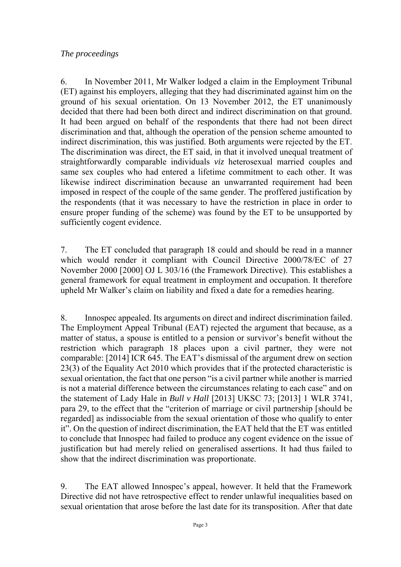#### *The proceedings*

6. In November 2011, Mr Walker lodged a claim in the Employment Tribunal (ET) against his employers, alleging that they had discriminated against him on the ground of his sexual orientation. On 13 November 2012, the ET unanimously decided that there had been both direct and indirect discrimination on that ground. It had been argued on behalf of the respondents that there had not been direct discrimination and that, although the operation of the pension scheme amounted to indirect discrimination, this was justified. Both arguments were rejected by the ET. The discrimination was direct, the ET said, in that it involved unequal treatment of straightforwardly comparable individuals *viz* heterosexual married couples and same sex couples who had entered a lifetime commitment to each other. It was likewise indirect discrimination because an unwarranted requirement had been imposed in respect of the couple of the same gender. The proffered justification by the respondents (that it was necessary to have the restriction in place in order to ensure proper funding of the scheme) was found by the ET to be unsupported by sufficiently cogent evidence.

7. The ET concluded that paragraph 18 could and should be read in a manner which would render it compliant with Council Directive 2000/78/EC of 27 November 2000 [2000] OJ L 303/16 (the Framework Directive). This establishes a general framework for equal treatment in employment and occupation. It therefore upheld Mr Walker's claim on liability and fixed a date for a remedies hearing.

8. Innospec appealed. Its arguments on direct and indirect discrimination failed. The Employment Appeal Tribunal (EAT) rejected the argument that because, as a matter of status, a spouse is entitled to a pension or survivor's benefit without the restriction which paragraph 18 places upon a civil partner, they were not comparable: [2014] ICR 645. The EAT's dismissal of the argument drew on section 23(3) of the Equality Act 2010 which provides that if the protected characteristic is sexual orientation, the fact that one person "is a civil partner while another is married is not a material difference between the circumstances relating to each case" and on the statement of Lady Hale in *Bull v Hall* [2013] UKSC 73; [2013] 1 WLR 3741, para 29, to the effect that the "criterion of marriage or civil partnership [should be regarded] as indissociable from the sexual orientation of those who qualify to enter it". On the question of indirect discrimination, the EAT held that the ET was entitled to conclude that Innospec had failed to produce any cogent evidence on the issue of justification but had merely relied on generalised assertions. It had thus failed to show that the indirect discrimination was proportionate.

9. The EAT allowed Innospec's appeal, however. It held that the Framework Directive did not have retrospective effect to render unlawful inequalities based on sexual orientation that arose before the last date for its transposition. After that date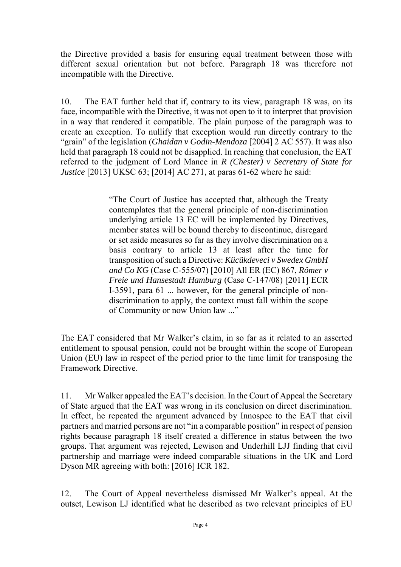the Directive provided a basis for ensuring equal treatment between those with different sexual orientation but not before. Paragraph 18 was therefore not incompatible with the Directive.

10. The EAT further held that if, contrary to its view, paragraph 18 was, on its face, incompatible with the Directive, it was not open to it to interpret that provision in a way that rendered it compatible. The plain purpose of the paragraph was to create an exception. To nullify that exception would run directly contrary to the "grain" of the legislation (*Ghaidan v Godin-Mendoza* [2004] 2 AC 557). It was also held that paragraph 18 could not be disapplied. In reaching that conclusion, the EAT referred to the judgment of Lord Mance in *R (Chester) v Secretary of State for Justice* [2013] UKSC 63; [2014] AC 271, at paras 61-62 where he said:

> "The Court of Justice has accepted that, although the Treaty contemplates that the general principle of non-discrimination underlying article 13 EC will be implemented by Directives, member states will be bound thereby to discontinue, disregard or set aside measures so far as they involve discrimination on a basis contrary to article 13 at least after the time for transposition of such a Directive: *Kücükdeveci v Swedex GmbH and Co KG* (Case C-555/07) [2010] All ER (EC) 867, *Römer v Freie und Hansestadt Hamburg* (Case C-147/08) [2011] ECR I-3591, para 61 ... however, for the general principle of nondiscrimination to apply, the context must fall within the scope of Community or now Union law ..."

The EAT considered that Mr Walker's claim, in so far as it related to an asserted entitlement to spousal pension, could not be brought within the scope of European Union (EU) law in respect of the period prior to the time limit for transposing the Framework Directive.

11. Mr Walker appealed the EAT's decision. In the Court of Appeal the Secretary of State argued that the EAT was wrong in its conclusion on direct discrimination. In effect, he repeated the argument advanced by Innospec to the EAT that civil partners and married persons are not "in a comparable position" in respect of pension rights because paragraph 18 itself created a difference in status between the two groups. That argument was rejected, Lewison and Underhill LJJ finding that civil partnership and marriage were indeed comparable situations in the UK and Lord Dyson MR agreeing with both: [2016] ICR 182.

12. The Court of Appeal nevertheless dismissed Mr Walker's appeal. At the outset, Lewison LJ identified what he described as two relevant principles of EU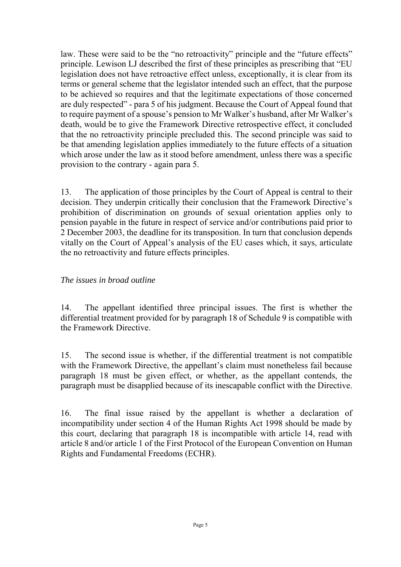law. These were said to be the "no retroactivity" principle and the "future effects" principle. Lewison LJ described the first of these principles as prescribing that "EU legislation does not have retroactive effect unless, exceptionally, it is clear from its terms or general scheme that the legislator intended such an effect, that the purpose to be achieved so requires and that the legitimate expectations of those concerned are duly respected" - para 5 of his judgment. Because the Court of Appeal found that to require payment of a spouse's pension to Mr Walker's husband, after Mr Walker's death, would be to give the Framework Directive retrospective effect, it concluded that the no retroactivity principle precluded this. The second principle was said to be that amending legislation applies immediately to the future effects of a situation which arose under the law as it stood before amendment, unless there was a specific provision to the contrary - again para 5.

13. The application of those principles by the Court of Appeal is central to their decision. They underpin critically their conclusion that the Framework Directive's prohibition of discrimination on grounds of sexual orientation applies only to pension payable in the future in respect of service and/or contributions paid prior to 2 December 2003, the deadline for its transposition. In turn that conclusion depends vitally on the Court of Appeal's analysis of the EU cases which, it says, articulate the no retroactivity and future effects principles.

#### *The issues in broad outline*

14. The appellant identified three principal issues. The first is whether the differential treatment provided for by paragraph 18 of Schedule 9 is compatible with the Framework Directive.

15. The second issue is whether, if the differential treatment is not compatible with the Framework Directive, the appellant's claim must nonetheless fail because paragraph 18 must be given effect, or whether, as the appellant contends, the paragraph must be disapplied because of its inescapable conflict with the Directive.

16. The final issue raised by the appellant is whether a declaration of incompatibility under section 4 of the Human Rights Act 1998 should be made by this court, declaring that paragraph 18 is incompatible with article 14, read with article 8 and/or article 1 of the First Protocol of the European Convention on Human Rights and Fundamental Freedoms (ECHR).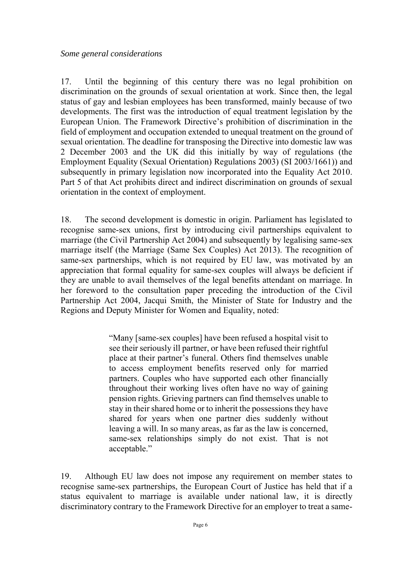17. Until the beginning of this century there was no legal prohibition on discrimination on the grounds of sexual orientation at work. Since then, the legal status of gay and lesbian employees has been transformed, mainly because of two developments. The first was the introduction of equal treatment legislation by the European Union. The Framework Directive's prohibition of discrimination in the field of employment and occupation extended to unequal treatment on the ground of sexual orientation. The deadline for transposing the Directive into domestic law was 2 December 2003 and the UK did this initially by way of regulations (the Employment Equality (Sexual Orientation) Regulations 2003) (SI 2003/1661)) and subsequently in primary legislation now incorporated into the Equality Act 2010. Part 5 of that Act prohibits direct and indirect discrimination on grounds of sexual orientation in the context of employment.

18. The second development is domestic in origin. Parliament has legislated to recognise same-sex unions, first by introducing civil partnerships equivalent to marriage (the Civil Partnership Act 2004) and subsequently by legalising same-sex marriage itself (the Marriage (Same Sex Couples) Act 2013). The recognition of same-sex partnerships, which is not required by EU law, was motivated by an appreciation that formal equality for same-sex couples will always be deficient if they are unable to avail themselves of the legal benefits attendant on marriage. In her foreword to the consultation paper preceding the introduction of the Civil Partnership Act 2004, Jacqui Smith, the Minister of State for Industry and the Regions and Deputy Minister for Women and Equality, noted:

> "Many [same-sex couples] have been refused a hospital visit to see their seriously ill partner, or have been refused their rightful place at their partner's funeral. Others find themselves unable to access employment benefits reserved only for married partners. Couples who have supported each other financially throughout their working lives often have no way of gaining pension rights. Grieving partners can find themselves unable to stay in their shared home or to inherit the possessions they have shared for years when one partner dies suddenly without leaving a will. In so many areas, as far as the law is concerned, same-sex relationships simply do not exist. That is not acceptable."

19. Although EU law does not impose any requirement on member states to recognise same-sex partnerships, the European Court of Justice has held that if a status equivalent to marriage is available under national law, it is directly discriminatory contrary to the Framework Directive for an employer to treat a same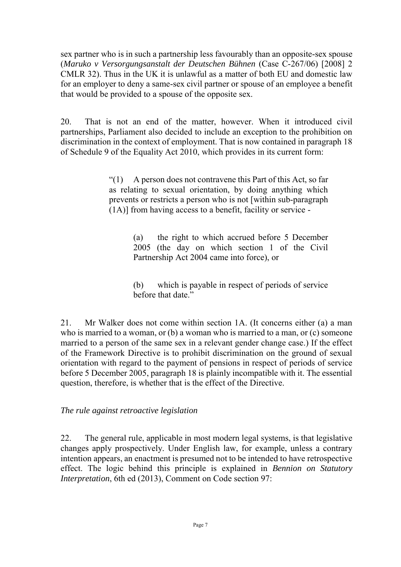sex partner who is in such a partnership less favourably than an opposite-sex spouse (*Maruko v Versorgungsanstalt der Deutschen Bühnen* (Case C-267/06) [2008] 2 CMLR 32). Thus in the UK it is unlawful as a matter of both EU and domestic law for an employer to deny a same-sex civil partner or spouse of an employee a benefit that would be provided to a spouse of the opposite sex.

20. That is not an end of the matter, however. When it introduced civil partnerships, Parliament also decided to include an exception to the prohibition on discrimination in the context of employment. That is now contained in paragraph 18 of Schedule 9 of the Equality Act 2010, which provides in its current form:

> $\mathcal{L}(1)$  A person does not contravene this Part of this Act, so far as relating to sexual orientation, by doing anything which prevents or restricts a person who is not [within sub-paragraph (1A)] from having access to a benefit, facility or service -

> > (a) the right to which accrued before 5 December 2005 (the day on which section 1 of the Civil Partnership Act 2004 came into force), or

> > (b) which is payable in respect of periods of service before that date"

21. Mr Walker does not come within section 1A. (It concerns either (a) a man who is married to a woman, or (b) a woman who is married to a man, or (c) someone married to a person of the same sex in a relevant gender change case.) If the effect of the Framework Directive is to prohibit discrimination on the ground of sexual orientation with regard to the payment of pensions in respect of periods of service before 5 December 2005, paragraph 18 is plainly incompatible with it. The essential question, therefore, is whether that is the effect of the Directive.

*The rule against retroactive legislation*

22. The general rule, applicable in most modern legal systems, is that legislative changes apply prospectively. Under English law, for example, unless a contrary intention appears, an enactment is presumed not to be intended to have retrospective effect. The logic behind this principle is explained in *Bennion on Statutory Interpretation*, 6th ed (2013), Comment on Code section 97: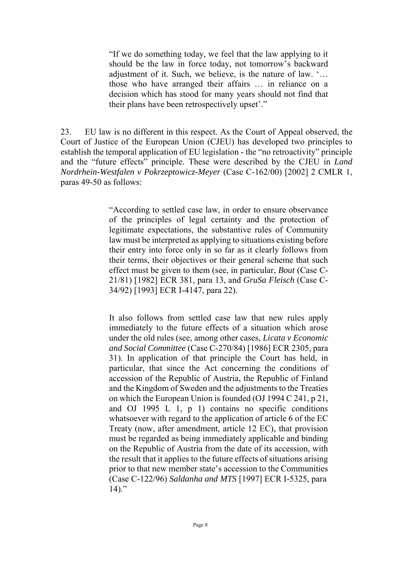"If we do something today, we feel that the law applying to it should be the law in force today, not tomorrow's backward adjustment of it. Such, we believe, is the nature of law. '… those who have arranged their affairs … in reliance on a decision which has stood for many years should not find that their plans have been retrospectively upset'."

23. EU law is no different in this respect. As the Court of Appeal observed, the Court of Justice of the European Union (CJEU) has developed two principles to establish the temporal application of EU legislation - the "no retroactivity" principle and the "future effects" principle. These were described by the CJEU in *Land Nordrhein-Westfalen v Pokrzeptowicz-Meyer* (Case C-162/00) [2002] 2 CMLR 1, paras 49-50 as follows:

> "According to settled case law, in order to ensure observance of the principles of legal certainty and the protection of legitimate expectations, the substantive rules of Community law must be interpreted as applying to situations existing before their entry into force only in so far as it clearly follows from their terms, their objectives or their general scheme that such effect must be given to them (see, in particular, *Bout* (Case C-21/81) [1982] ECR 381, para 13, and *GruSa Fleisch* (Case C-34/92) [1993] ECR I-4147, para 22).

> It also follows from settled case law that new rules apply immediately to the future effects of a situation which arose under the old rules (see, among other cases, *Licata v Economic and Social Committee* (Case C-270/84) [1986] ECR 2305, para 31). In application of that principle the Court has held, in particular, that since the Act concerning the conditions of accession of the Republic of Austria, the Republic of Finland and the Kingdom of Sweden and the adjustments to the Treaties on which the European Union is founded (OJ 1994 C 241, p 21, and OJ 1995 L 1, p 1) contains no specific conditions whatsoever with regard to the application of article 6 of the EC Treaty (now, after amendment, article 12 EC), that provision must be regarded as being immediately applicable and binding on the Republic of Austria from the date of its accession, with the result that it applies to the future effects of situations arising prior to that new member state's accession to the Communities (Case C-122/96) *Saldanha and MTS* [1997] ECR I-5325, para  $14$ )."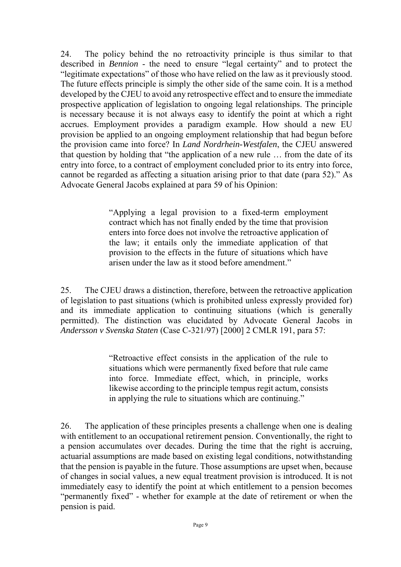24. The policy behind the no retroactivity principle is thus similar to that described in *Bennion* - the need to ensure "legal certainty" and to protect the "legitimate expectations" of those who have relied on the law as it previously stood. The future effects principle is simply the other side of the same coin. It is a method developed by the CJEU to avoid any retrospective effect and to ensure the immediate prospective application of legislation to ongoing legal relationships. The principle is necessary because it is not always easy to identify the point at which a right accrues. Employment provides a paradigm example. How should a new EU provision be applied to an ongoing employment relationship that had begun before the provision came into force? In *Land Nordrhein-Westfalen*, the CJEU answered that question by holding that "the application of a new rule … from the date of its entry into force, to a contract of employment concluded prior to its entry into force, cannot be regarded as affecting a situation arising prior to that date (para 52)." As Advocate General Jacobs explained at para 59 of his Opinion:

> "Applying a legal provision to a fixed-term employment contract which has not finally ended by the time that provision enters into force does not involve the retroactive application of the law; it entails only the immediate application of that provision to the effects in the future of situations which have arisen under the law as it stood before amendment."

25. The CJEU draws a distinction, therefore, between the retroactive application of legislation to past situations (which is prohibited unless expressly provided for) and its immediate application to continuing situations (which is generally permitted). The distinction was elucidated by Advocate General Jacobs in *Andersson v Svenska Staten* (Case C-321/97) [2000] 2 CMLR 191, para 57:

> "Retroactive effect consists in the application of the rule to situations which were permanently fixed before that rule came into force. Immediate effect, which, in principle, works likewise according to the principle tempus regit actum, consists in applying the rule to situations which are continuing."

26. The application of these principles presents a challenge when one is dealing with entitlement to an occupational retirement pension. Conventionally, the right to a pension accumulates over decades. During the time that the right is accruing, actuarial assumptions are made based on existing legal conditions, notwithstanding that the pension is payable in the future. Those assumptions are upset when, because of changes in social values, a new equal treatment provision is introduced. It is not immediately easy to identify the point at which entitlement to a pension becomes "permanently fixed" - whether for example at the date of retirement or when the pension is paid.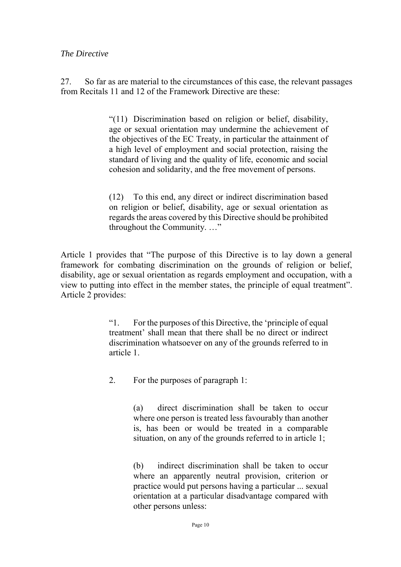#### *The Directive*

27. So far as are material to the circumstances of this case, the relevant passages from Recitals 11 and 12 of the Framework Directive are these:

> "(11) Discrimination based on religion or belief, disability, age or sexual orientation may undermine the achievement of the objectives of the EC Treaty, in particular the attainment of a high level of employment and social protection, raising the standard of living and the quality of life, economic and social cohesion and solidarity, and the free movement of persons.

> (12) To this end, any direct or indirect discrimination based on religion or belief, disability, age or sexual orientation as regards the areas covered by this Directive should be prohibited throughout the Community. …"

Article 1 provides that "The purpose of this Directive is to lay down a general framework for combating discrimination on the grounds of religion or belief, disability, age or sexual orientation as regards employment and occupation, with a view to putting into effect in the member states, the principle of equal treatment". Article 2 provides:

> "1. For the purposes of this Directive, the 'principle of equal treatment' shall mean that there shall be no direct or indirect discrimination whatsoever on any of the grounds referred to in article 1.

2. For the purposes of paragraph 1:

(a) direct discrimination shall be taken to occur where one person is treated less favourably than another is, has been or would be treated in a comparable situation, on any of the grounds referred to in article 1;

(b) indirect discrimination shall be taken to occur where an apparently neutral provision, criterion or practice would put persons having a particular ... sexual orientation at a particular disadvantage compared with other persons unless: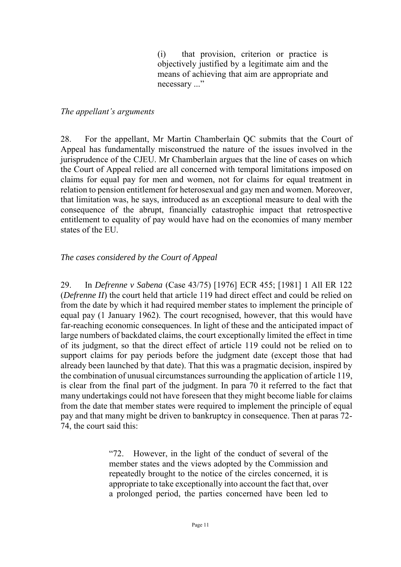(i) that provision, criterion or practice is objectively justified by a legitimate aim and the means of achieving that aim are appropriate and necessary ..."

#### *The appellant's arguments*

28. For the appellant, Mr Martin Chamberlain QC submits that the Court of Appeal has fundamentally misconstrued the nature of the issues involved in the jurisprudence of the CJEU. Mr Chamberlain argues that the line of cases on which the Court of Appeal relied are all concerned with temporal limitations imposed on claims for equal pay for men and women, not for claims for equal treatment in relation to pension entitlement for heterosexual and gay men and women. Moreover, that limitation was, he says, introduced as an exceptional measure to deal with the consequence of the abrupt, financially catastrophic impact that retrospective entitlement to equality of pay would have had on the economies of many member states of the EU.

### *The cases considered by the Court of Appeal*

29. In *Defrenne v Sabena* (Case 43/75) [1976] ECR 455; [1981] 1 All ER 122 (*Defrenne II*) the court held that article 119 had direct effect and could be relied on from the date by which it had required member states to implement the principle of equal pay (1 January 1962). The court recognised, however, that this would have far-reaching economic consequences. In light of these and the anticipated impact of large numbers of backdated claims, the court exceptionally limited the effect in time of its judgment, so that the direct effect of article 119 could not be relied on to support claims for pay periods before the judgment date (except those that had already been launched by that date). That this was a pragmatic decision, inspired by the combination of unusual circumstances surrounding the application of article 119, is clear from the final part of the judgment. In para 70 it referred to the fact that many undertakings could not have foreseen that they might become liable for claims from the date that member states were required to implement the principle of equal pay and that many might be driven to bankruptcy in consequence. Then at paras 72- 74, the court said this:

> "72. However, in the light of the conduct of several of the member states and the views adopted by the Commission and repeatedly brought to the notice of the circles concerned, it is appropriate to take exceptionally into account the fact that, over a prolonged period, the parties concerned have been led to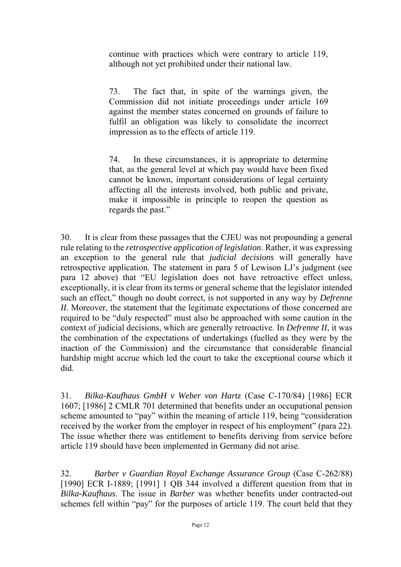continue with practices which were contrary to article 119, although not yet prohibited under their national law.

73. The fact that, in spite of the warnings given, the Commission did not initiate proceedings under article 169 against the member states concerned on grounds of failure to fulfil an obligation was likely to consolidate the incorrect impression as to the effects of article 119.

74. In these circumstances, it is appropriate to determine that, as the general level at which pay would have been fixed cannot be known, important considerations of legal certainty affecting all the interests involved, both public and private, make it impossible in principle to reopen the question as regards the past."

30. It is clear from these passages that the CJEU was not propounding a general rule relating to the *retrospective application of legislation*. Rather, it was expressing an exception to the general rule that *judicial decisions* will generally have retrospective application. The statement in para 5 of Lewison LJ's judgment (see para 12 above) that "EU legislation does not have retroactive effect unless, exceptionally, it is clear from its terms or general scheme that the legislator intended such an effect," though no doubt correct, is not supported in any way by *Defrenne II*. Moreover, the statement that the legitimate expectations of those concerned are required to be "duly respected" must also be approached with some caution in the context of judicial decisions, which are generally retroactive. In *Defrenne II*, it was the combination of the expectations of undertakings (fuelled as they were by the inaction of the Commission) and the circumstance that considerable financial hardship might accrue which led the court to take the exceptional course which it did.

31. *Bilka-Kaufhaus GmbH v Weber von Hartz* (Case C-170/84) [1986] ECR 1607; [1986] 2 CMLR 701 determined that benefits under an occupational pension scheme amounted to "pay" within the meaning of article 119, being "consideration received by the worker from the employer in respect of his employment" (para 22). The issue whether there was entitlement to benefits deriving from service before article 119 should have been implemented in Germany did not arise.

32. *Barber v Guardian Royal Exchange Assurance Group* (Case C-262/88) [1990] ECR I-1889; [1991] 1 QB 344 involved a different question from that in *Bilka-Kaufhaus*. The issue in *Barber* was whether benefits under contracted-out schemes fell within "pay" for the purposes of article 119. The court held that they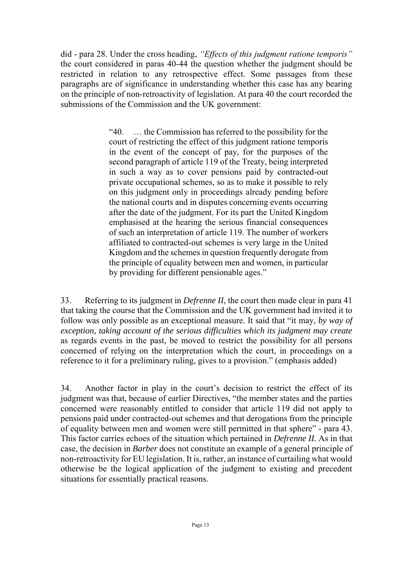did - para 28. Under the cross heading, *"Effects of this judgment ratione temporis"* the court considered in paras 40-44 the question whether the judgment should be restricted in relation to any retrospective effect. Some passages from these paragraphs are of significance in understanding whether this case has any bearing on the principle of non-retroactivity of legislation. At para 40 the court recorded the submissions of the Commission and the UK government:

> "40. … the Commission has referred to the possibility for the court of restricting the effect of this judgment ratione temporis in the event of the concept of pay, for the purposes of the second paragraph of article 119 of the Treaty, being interpreted in such a way as to cover pensions paid by contracted-out private occupational schemes, so as to make it possible to rely on this judgment only in proceedings already pending before the national courts and in disputes concerning events occurring after the date of the judgment. For its part the United Kingdom emphasised at the hearing the serious financial consequences of such an interpretation of article 119. The number of workers affiliated to contracted-out schemes is very large in the United Kingdom and the schemes in question frequently derogate from the principle of equality between men and women, in particular by providing for different pensionable ages."

33. Referring to its judgment in *Defrenne II*, the court then made clear in para 41 that taking the course that the Commission and the UK government had invited it to follow was only possible as an exceptional measure. It said that "it may, *by way of exception, taking account of the serious difficulties which its judgment may create* as regards events in the past, be moved to restrict the possibility for all persons concerned of relying on the interpretation which the court, in proceedings on a reference to it for a preliminary ruling, gives to a provision." (emphasis added)

34. Another factor in play in the court's decision to restrict the effect of its judgment was that, because of earlier Directives, "the member states and the parties concerned were reasonably entitled to consider that article 119 did not apply to pensions paid under contracted-out schemes and that derogations from the principle of equality between men and women were still permitted in that sphere" - para 43. This factor carries echoes of the situation which pertained in *Defrenne II.* As in that case, the decision in *Barber* does not constitute an example of a general principle of non-retroactivity for EU legislation. It is, rather, an instance of curtailing what would otherwise be the logical application of the judgment to existing and precedent situations for essentially practical reasons.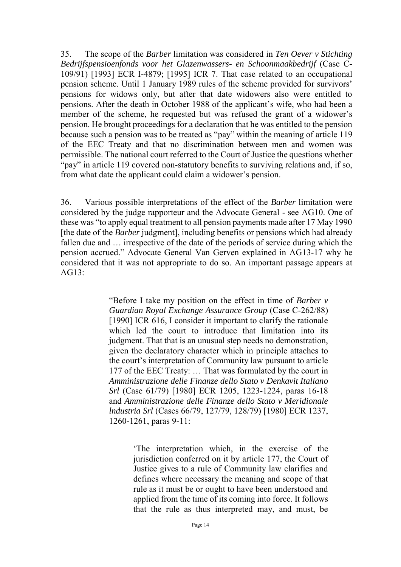35. The scope of the *Barber* limitation was considered in *Ten Oever v Stichting Bedrijfspensioenfonds voor het Glazenwassers- en Schoonmaakbedrijf* (Case C-109/91) [1993] ECR I-4879; [1995] ICR 7. That case related to an occupational pension scheme. Until 1 January 1989 rules of the scheme provided for survivors' pensions for widows only, but after that date widowers also were entitled to pensions. After the death in October 1988 of the applicant's wife, who had been a member of the scheme, he requested but was refused the grant of a widower's pension. He brought proceedings for a declaration that he was entitled to the pension because such a pension was to be treated as "pay" within the meaning of article 119 of the EEC Treaty and that no discrimination between men and women was permissible. The national court referred to the Court of Justice the questions whether "pay" in article 119 covered non-statutory benefits to surviving relations and, if so, from what date the applicant could claim a widower's pension.

36. Various possible interpretations of the effect of the *Barber* limitation were considered by the judge rapporteur and the Advocate General - see AG10. One of these was "to apply equal treatment to all pension payments made after 17 May 1990 [the date of the *Barber* judgment], including benefits or pensions which had already fallen due and … irrespective of the date of the periods of service during which the pension accrued." Advocate General Van Gerven explained in AG13-17 why he considered that it was not appropriate to do so. An important passage appears at AG13:

> "Before I take my position on the effect in time of *Barber v Guardian Royal Exchange Assurance Group* (Case C-262/88) [1990] ICR 616, I consider it important to clarify the rationale which led the court to introduce that limitation into its judgment. That that is an unusual step needs no demonstration, given the declaratory character which in principle attaches to the court's interpretation of Community law pursuant to article 177 of the EEC Treaty: … That was formulated by the court in *Amministrazione delle Finanze dello Stato v Denkavit Italiano Srl* (Case 61/79) [1980] ECR 1205, 1223-1224, paras 16-18 and *Amministrazione delle Finanze dello Stato v Meridionale lndustria Srl* (Cases 66/79, 127/79, 128/79) [1980] ECR 1237, 1260-1261, paras 9-11:

> > 'The interpretation which, in the exercise of the jurisdiction conferred on it by article 177, the Court of Justice gives to a rule of Community law clarifies and defines where necessary the meaning and scope of that rule as it must be or ought to have been understood and applied from the time of its coming into force. It follows that the rule as thus interpreted may, and must, be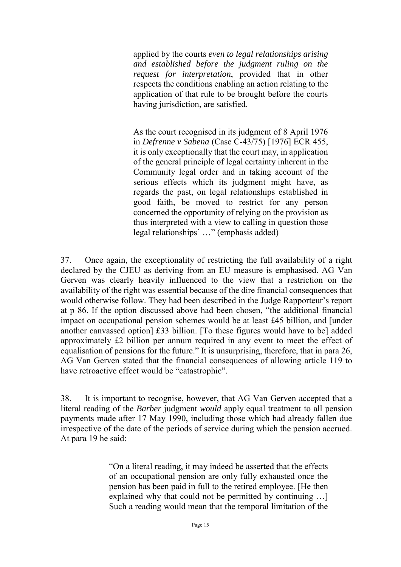applied by the courts *even to legal relationships arising and established before the judgment ruling on the request for interpretation*, provided that in other respects the conditions enabling an action relating to the application of that rule to be brought before the courts having jurisdiction, are satisfied.

As the court recognised in its judgment of 8 April 1976 in *Defrenne v Sabena* (Case C-43/75) [1976] ECR 455, it is only exceptionally that the court may, in application of the general principle of legal certainty inherent in the Community legal order and in taking account of the serious effects which its judgment might have, as regards the past, on legal relationships established in good faith, be moved to restrict for any person concerned the opportunity of relying on the provision as thus interpreted with a view to calling in question those legal relationships' …" (emphasis added)

37. Once again, the exceptionality of restricting the full availability of a right declared by the CJEU as deriving from an EU measure is emphasised. AG Van Gerven was clearly heavily influenced to the view that a restriction on the availability of the right was essential because of the dire financial consequences that would otherwise follow. They had been described in the Judge Rapporteur's report at p 86. If the option discussed above had been chosen, "the additional financial impact on occupational pension schemes would be at least £45 billion, and [under another canvassed option] £33 billion. [To these figures would have to be] added approximately £2 billion per annum required in any event to meet the effect of equalisation of pensions for the future." It is unsurprising, therefore, that in para 26, AG Van Gerven stated that the financial consequences of allowing article 119 to have retroactive effect would be "catastrophic".

38. It is important to recognise, however, that AG Van Gerven accepted that a literal reading of the *Barber* judgment *would* apply equal treatment to all pension payments made after 17 May 1990, including those which had already fallen due irrespective of the date of the periods of service during which the pension accrued. At para 19 he said:

> "On a literal reading, it may indeed be asserted that the effects of an occupational pension are only fully exhausted once the pension has been paid in full to the retired employee. [He then explained why that could not be permitted by continuing …] Such a reading would mean that the temporal limitation of the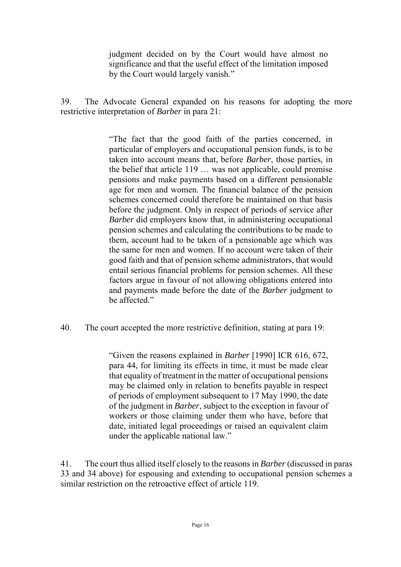judgment decided on by the Court would have almost no significance and that the useful effect of the limitation imposed by the Court would largely vanish."

39. The Advocate General expanded on his reasons for adopting the more restrictive interpretation of *Barber* in para 21:

> "The fact that the good faith of the parties concerned, in particular of employers and occupational pension funds, is to be taken into account means that, before *Barber*, those parties, in the belief that article 119 … was not applicable, could promise pensions and make payments based on a different pensionable age for men and women. The financial balance of the pension schemes concerned could therefore be maintained on that basis before the judgment. Only in respect of periods of service after *Barber* did employers know that, in administering occupational pension schemes and calculating the contributions to be made to them, account had to be taken of a pensionable age which was the same for men and women. If no account were taken of their good faith and that of pension scheme administrators, that would entail serious financial problems for pension schemes. All these factors argue in favour of not allowing obligations entered into and payments made before the date of the *Barber* judgment to be affected."

40. The court accepted the more restrictive definition, stating at para 19:

"Given the reasons explained in *Barber* [1990] ICR 616, 672, para 44, for limiting its effects in time, it must be made clear that equality of treatment in the matter of occupational pensions may be claimed only in relation to benefits payable in respect of periods of employment subsequent to 17 May 1990, the date of the judgment in *Barber*, subject to the exception in favour of workers or those claiming under them who have, before that date, initiated legal proceedings or raised an equivalent claim under the applicable national law."

41. The court thus allied itself closely to the reasons in *Barber* (discussed in paras 33 and 34 above) for espousing and extending to occupational pension schemes a similar restriction on the retroactive effect of article 119.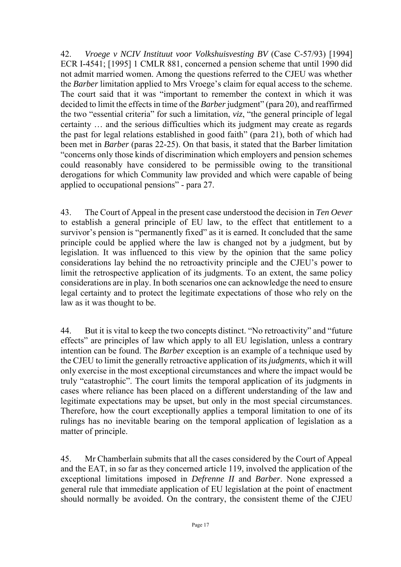42. *Vroege v NCIV Instituut voor Volkshuisvesting BV* (Case C-57/93) [1994] ECR I-4541; [1995] 1 CMLR 881, concerned a pension scheme that until 1990 did not admit married women. Among the questions referred to the CJEU was whether the *Barber* limitation applied to Mrs Vroege's claim for equal access to the scheme. The court said that it was "important to remember the context in which it was decided to limit the effects in time of the *Barber* judgment" (para 20), and reaffirmed the two "essential criteria" for such a limitation, *viz*, "the general principle of legal certainty … and the serious difficulties which its judgment may create as regards the past for legal relations established in good faith" (para 21), both of which had been met in *Barber* (paras 22-25). On that basis, it stated that the Barber limitation "concerns only those kinds of discrimination which employers and pension schemes could reasonably have considered to be permissible owing to the transitional derogations for which Community law provided and which were capable of being applied to occupational pensions" - para 27.

43. The Court of Appeal in the present case understood the decision in *Ten Oever* to establish a general principle of EU law, to the effect that entitlement to a survivor's pension is "permanently fixed" as it is earned. It concluded that the same principle could be applied where the law is changed not by a judgment, but by legislation. It was influenced to this view by the opinion that the same policy considerations lay behind the no retroactivity principle and the CJEU's power to limit the retrospective application of its judgments. To an extent, the same policy considerations are in play. In both scenarios one can acknowledge the need to ensure legal certainty and to protect the legitimate expectations of those who rely on the law as it was thought to be.

44. But it is vital to keep the two concepts distinct. "No retroactivity" and "future effects" are principles of law which apply to all EU legislation, unless a contrary intention can be found. The *Barber* exception is an example of a technique used by the CJEU to limit the generally retroactive application of its *judgments*, which it will only exercise in the most exceptional circumstances and where the impact would be truly "catastrophic". The court limits the temporal application of its judgments in cases where reliance has been placed on a different understanding of the law and legitimate expectations may be upset, but only in the most special circumstances. Therefore, how the court exceptionally applies a temporal limitation to one of its rulings has no inevitable bearing on the temporal application of legislation as a matter of principle.

45. Mr Chamberlain submits that all the cases considered by the Court of Appeal and the EAT, in so far as they concerned article 119, involved the application of the exceptional limitations imposed in *Defrenne II* and *Barber*. None expressed a general rule that immediate application of EU legislation at the point of enactment should normally be avoided. On the contrary, the consistent theme of the CJEU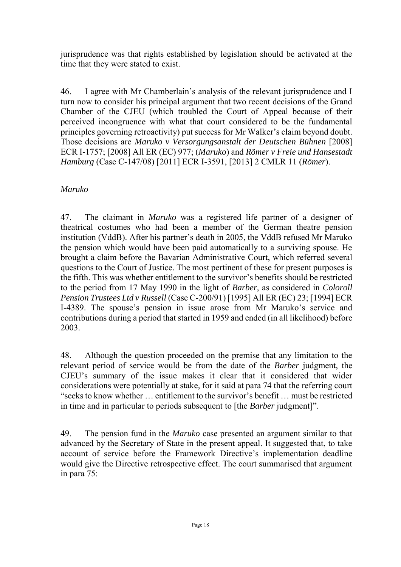jurisprudence was that rights established by legislation should be activated at the time that they were stated to exist.

46. I agree with Mr Chamberlain's analysis of the relevant jurisprudence and I turn now to consider his principal argument that two recent decisions of the Grand Chamber of the CJEU (which troubled the Court of Appeal because of their perceived incongruence with what that court considered to be the fundamental principles governing retroactivity) put success for Mr Walker's claim beyond doubt. Those decisions are *Maruko v Versorgungsanstalt der Deutschen Bühnen* [2008] ECR I-1757; [2008] All ER (EC) 977; (*Maruko*) and *Römer v Freie und Hansestadt Hamburg* (Case C-147/08) [2011] ECR I-3591, [2013] 2 CMLR 11 (*Römer*).

## *Maruko*

47. The claimant in *Maruko* was a registered life partner of a designer of theatrical costumes who had been a member of the German theatre pension institution (VddB). After his partner's death in 2005, the VddB refused Mr Maruko the pension which would have been paid automatically to a surviving spouse. He brought a claim before the Bavarian Administrative Court, which referred several questions to the Court of Justice. The most pertinent of these for present purposes is the fifth. This was whether entitlement to the survivor's benefits should be restricted to the period from 17 May 1990 in the light of *Barber*, as considered in *Coloroll Pension Trustees Ltd v Russell* (Case C-200/91) [1995] All ER (EC) 23; [1994] ECR I-4389. The spouse's pension in issue arose from Mr Maruko's service and contributions during a period that started in 1959 and ended (in all likelihood) before 2003.

48. Although the question proceeded on the premise that any limitation to the relevant period of service would be from the date of the *Barber* judgment, the CJEU's summary of the issue makes it clear that it considered that wider considerations were potentially at stake, for it said at para 74 that the referring court "seeks to know whether … entitlement to the survivor's benefit … must be restricted in time and in particular to periods subsequent to [the *Barber* judgment]".

49. The pension fund in the *Maruko* case presented an argument similar to that advanced by the Secretary of State in the present appeal. It suggested that, to take account of service before the Framework Directive's implementation deadline would give the Directive retrospective effect. The court summarised that argument in para 75: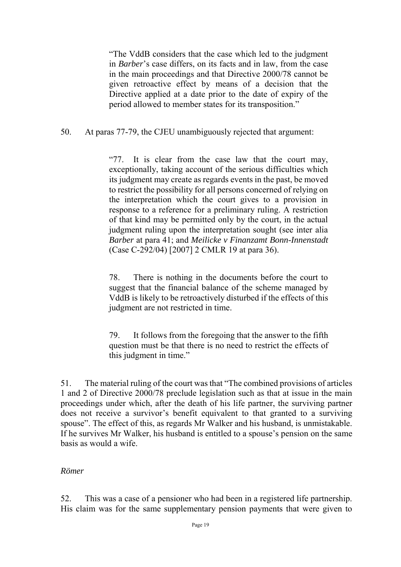"The VddB considers that the case which led to the judgment in *Barber*'s case differs, on its facts and in law, from the case in the main proceedings and that Directive 2000/78 cannot be given retroactive effect by means of a decision that the Directive applied at a date prior to the date of expiry of the period allowed to member states for its transposition."

## 50. At paras 77-79, the CJEU unambiguously rejected that argument:

"77. It is clear from the case law that the court may, exceptionally, taking account of the serious difficulties which its judgment may create as regards events in the past, be moved to restrict the possibility for all persons concerned of relying on the interpretation which the court gives to a provision in response to a reference for a preliminary ruling. A restriction of that kind may be permitted only by the court, in the actual judgment ruling upon the interpretation sought (see inter alia *Barber* at para 41; and *Meilicke v Finanzamt Bonn-Innenstadt* (Case C-292/04) [2007] 2 CMLR 19 at para 36).

78. There is nothing in the documents before the court to suggest that the financial balance of the scheme managed by VddB is likely to be retroactively disturbed if the effects of this judgment are not restricted in time.

79. It follows from the foregoing that the answer to the fifth question must be that there is no need to restrict the effects of this judgment in time."

51. The material ruling of the court was that "The combined provisions of articles 1 and 2 of Directive 2000/78 preclude legislation such as that at issue in the main proceedings under which, after the death of his life partner, the surviving partner does not receive a survivor's benefit equivalent to that granted to a surviving spouse". The effect of this, as regards Mr Walker and his husband, is unmistakable. If he survives Mr Walker, his husband is entitled to a spouse's pension on the same basis as would a wife.

#### *Römer*

52. This was a case of a pensioner who had been in a registered life partnership. His claim was for the same supplementary pension payments that were given to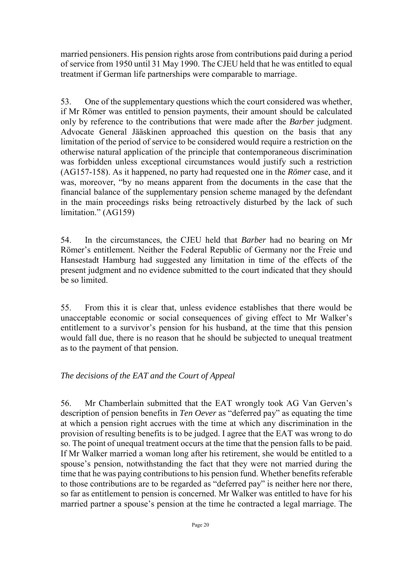married pensioners. His pension rights arose from contributions paid during a period of service from 1950 until 31 May 1990. The CJEU held that he was entitled to equal treatment if German life partnerships were comparable to marriage.

53. One of the supplementary questions which the court considered was whether, if Mr Römer was entitled to pension payments, their amount should be calculated only by reference to the contributions that were made after the *Barber* judgment. Advocate General Jääskinen approached this question on the basis that any limitation of the period of service to be considered would require a restriction on the otherwise natural application of the principle that contemporaneous discrimination was forbidden unless exceptional circumstances would justify such a restriction (AG157-158). As it happened, no party had requested one in the *Römer* case, and it was, moreover, "by no means apparent from the documents in the case that the financial balance of the supplementary pension scheme managed by the defendant in the main proceedings risks being retroactively disturbed by the lack of such limitation." (AG159)

54. In the circumstances, the CJEU held that *Barber* had no bearing on Mr Römer's entitlement. Neither the Federal Republic of Germany nor the Freie und Hansestadt Hamburg had suggested any limitation in time of the effects of the present judgment and no evidence submitted to the court indicated that they should be so limited.

55. From this it is clear that, unless evidence establishes that there would be unacceptable economic or social consequences of giving effect to Mr Walker's entitlement to a survivor's pension for his husband, at the time that this pension would fall due, there is no reason that he should be subjected to unequal treatment as to the payment of that pension.

## *The decisions of the EAT and the Court of Appeal*

56. Mr Chamberlain submitted that the EAT wrongly took AG Van Gerven's description of pension benefits in *Ten Oever* as "deferred pay" as equating the time at which a pension right accrues with the time at which any discrimination in the provision of resulting benefits is to be judged. I agree that the EAT was wrong to do so. The point of unequal treatment occurs at the time that the pension falls to be paid. If Mr Walker married a woman long after his retirement, she would be entitled to a spouse's pension, notwithstanding the fact that they were not married during the time that he was paying contributions to his pension fund. Whether benefits referable to those contributions are to be regarded as "deferred pay" is neither here nor there, so far as entitlement to pension is concerned. Mr Walker was entitled to have for his married partner a spouse's pension at the time he contracted a legal marriage. The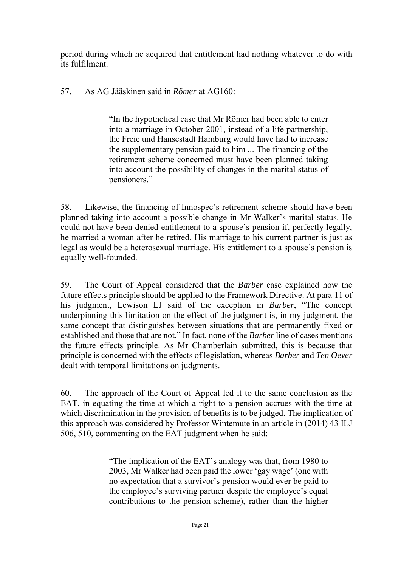period during which he acquired that entitlement had nothing whatever to do with its fulfilment.

57. As AG Jääskinen said in *Römer* at AG160:

"In the hypothetical case that Mr Römer had been able to enter into a marriage in October 2001, instead of a life partnership, the Freie und Hansestadt Hamburg would have had to increase the supplementary pension paid to him ... The financing of the retirement scheme concerned must have been planned taking into account the possibility of changes in the marital status of pensioners."

58. Likewise, the financing of Innospec's retirement scheme should have been planned taking into account a possible change in Mr Walker's marital status. He could not have been denied entitlement to a spouse's pension if, perfectly legally, he married a woman after he retired. His marriage to his current partner is just as legal as would be a heterosexual marriage. His entitlement to a spouse's pension is equally well-founded.

59. The Court of Appeal considered that the *Barber* case explained how the future effects principle should be applied to the Framework Directive. At para 11 of his judgment, Lewison LJ said of the exception in *Barber*, "The concept underpinning this limitation on the effect of the judgment is, in my judgment, the same concept that distinguishes between situations that are permanently fixed or established and those that are not." In fact, none of the *Barber* line of cases mentions the future effects principle. As Mr Chamberlain submitted, this is because that principle is concerned with the effects of legislation, whereas *Barber* and *Ten Oever*  dealt with temporal limitations on judgments.

60. The approach of the Court of Appeal led it to the same conclusion as the EAT, in equating the time at which a right to a pension accrues with the time at which discrimination in the provision of benefits is to be judged. The implication of this approach was considered by Professor Wintemute in an article in (2014) 43 ILJ 506, 510, commenting on the EAT judgment when he said:

> "The implication of the EAT's analogy was that, from 1980 to 2003, Mr Walker had been paid the lower 'gay wage' (one with no expectation that a survivor's pension would ever be paid to the employee's surviving partner despite the employee's equal contributions to the pension scheme), rather than the higher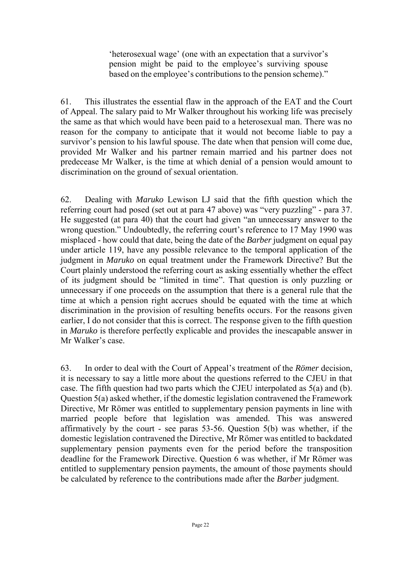'heterosexual wage' (one with an expectation that a survivor's pension might be paid to the employee's surviving spouse based on the employee's contributions to the pension scheme)."

61. This illustrates the essential flaw in the approach of the EAT and the Court of Appeal. The salary paid to Mr Walker throughout his working life was precisely the same as that which would have been paid to a heterosexual man. There was no reason for the company to anticipate that it would not become liable to pay a survivor's pension to his lawful spouse. The date when that pension will come due, provided Mr Walker and his partner remain married and his partner does not predecease Mr Walker, is the time at which denial of a pension would amount to discrimination on the ground of sexual orientation.

62. Dealing with *Maruko* Lewison LJ said that the fifth question which the referring court had posed (set out at para 47 above) was "very puzzling" - para 37. He suggested (at para 40) that the court had given "an unnecessary answer to the wrong question." Undoubtedly, the referring court's reference to 17 May 1990 was misplaced - how could that date, being the date of the *Barber* judgment on equal pay under article 119, have any possible relevance to the temporal application of the judgment in *Maruko* on equal treatment under the Framework Directive? But the Court plainly understood the referring court as asking essentially whether the effect of its judgment should be "limited in time". That question is only puzzling or unnecessary if one proceeds on the assumption that there is a general rule that the time at which a pension right accrues should be equated with the time at which discrimination in the provision of resulting benefits occurs. For the reasons given earlier, I do not consider that this is correct. The response given to the fifth question in *Maruko* is therefore perfectly explicable and provides the inescapable answer in Mr Walker's case.

63. In order to deal with the Court of Appeal's treatment of the *Römer* decision, it is necessary to say a little more about the questions referred to the CJEU in that case. The fifth question had two parts which the CJEU interpolated as 5(a) and (b). Question 5(a) asked whether, if the domestic legislation contravened the Framework Directive, Mr Römer was entitled to supplementary pension payments in line with married people before that legislation was amended. This was answered affirmatively by the court - see paras 53-56. Question 5(b) was whether, if the domestic legislation contravened the Directive, Mr Römer was entitled to backdated supplementary pension payments even for the period before the transposition deadline for the Framework Directive. Question 6 was whether, if Mr Römer was entitled to supplementary pension payments, the amount of those payments should be calculated by reference to the contributions made after the *Barber* judgment.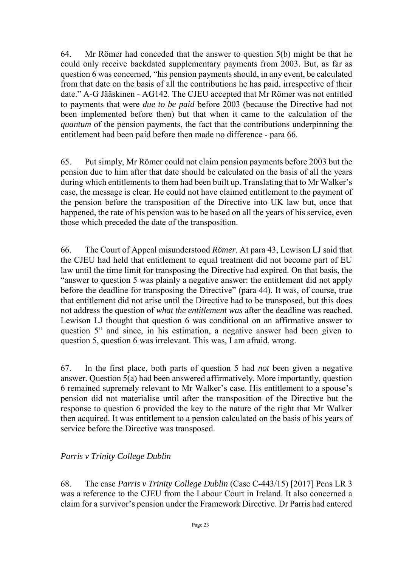64. Mr Römer had conceded that the answer to question 5(b) might be that he could only receive backdated supplementary payments from 2003. But, as far as question 6 was concerned, "his pension payments should, in any event, be calculated from that date on the basis of all the contributions he has paid, irrespective of their date." A-G Jääskinen - AG142. The CJEU accepted that Mr Römer was not entitled to payments that were *due to be paid* before 2003 (because the Directive had not been implemented before then) but that when it came to the calculation of the *quantum* of the pension payments, the fact that the contributions underpinning the entitlement had been paid before then made no difference - para 66.

65. Put simply, Mr Römer could not claim pension payments before 2003 but the pension due to him after that date should be calculated on the basis of all the years during which entitlements to them had been built up. Translating that to Mr Walker's case, the message is clear. He could not have claimed entitlement to the payment of the pension before the transposition of the Directive into UK law but, once that happened, the rate of his pension was to be based on all the years of his service, even those which preceded the date of the transposition.

66. The Court of Appeal misunderstood *Römer*. At para 43, Lewison LJ said that the CJEU had held that entitlement to equal treatment did not become part of EU law until the time limit for transposing the Directive had expired. On that basis, the "answer to question 5 was plainly a negative answer: the entitlement did not apply before the deadline for transposing the Directive" (para 44). It was, of course, true that entitlement did not arise until the Directive had to be transposed, but this does not address the question of *what the entitlement was* after the deadline was reached. Lewison LJ thought that question 6 was conditional on an affirmative answer to question 5" and since, in his estimation, a negative answer had been given to question 5, question 6 was irrelevant. This was, I am afraid, wrong.

67. In the first place, both parts of question 5 had *not* been given a negative answer. Question 5(a) had been answered affirmatively. More importantly, question 6 remained supremely relevant to Mr Walker's case. His entitlement to a spouse's pension did not materialise until after the transposition of the Directive but the response to question 6 provided the key to the nature of the right that Mr Walker then acquired. It was entitlement to a pension calculated on the basis of his years of service before the Directive was transposed.

## *Parris v Trinity College Dublin*

68. The case *Parris v Trinity College Dublin* (Case C-443/15) [2017] Pens LR 3 was a reference to the CJEU from the Labour Court in Ireland. It also concerned a claim for a survivor's pension under the Framework Directive. Dr Parris had entered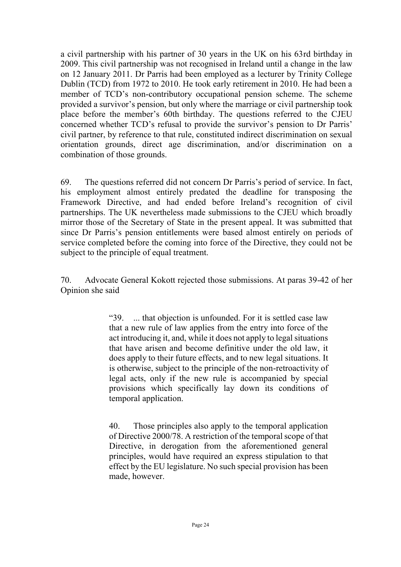a civil partnership with his partner of 30 years in the UK on his 63rd birthday in 2009. This civil partnership was not recognised in Ireland until a change in the law on 12 January 2011. Dr Parris had been employed as a lecturer by Trinity College Dublin (TCD) from 1972 to 2010. He took early retirement in 2010. He had been a member of TCD's non-contributory occupational pension scheme. The scheme provided a survivor's pension, but only where the marriage or civil partnership took place before the member's 60th birthday. The questions referred to the CJEU concerned whether TCD's refusal to provide the survivor's pension to Dr Parris' civil partner, by reference to that rule, constituted indirect discrimination on sexual orientation grounds, direct age discrimination, and/or discrimination on a combination of those grounds.

69. The questions referred did not concern Dr Parris's period of service. In fact, his employment almost entirely predated the deadline for transposing the Framework Directive, and had ended before Ireland's recognition of civil partnerships. The UK nevertheless made submissions to the CJEU which broadly mirror those of the Secretary of State in the present appeal. It was submitted that since Dr Parris's pension entitlements were based almost entirely on periods of service completed before the coming into force of the Directive, they could not be subject to the principle of equal treatment.

70. Advocate General Kokott rejected those submissions. At paras 39-42 of her Opinion she said

> "39. ... that objection is unfounded. For it is settled case law that a new rule of law applies from the entry into force of the act introducing it, and, while it does not apply to legal situations that have arisen and become definitive under the old law, it does apply to their future effects, and to new legal situations. It is otherwise, subject to the principle of the non-retroactivity of legal acts, only if the new rule is accompanied by special provisions which specifically lay down its conditions of temporal application.

> 40. Those principles also apply to the temporal application of Directive 2000/78. A restriction of the temporal scope of that Directive, in derogation from the aforementioned general principles, would have required an express stipulation to that effect by the EU legislature. No such special provision has been made, however.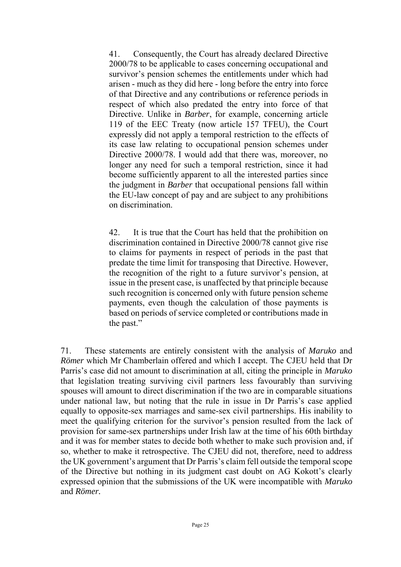41. Consequently, the Court has already declared Directive 2000/78 to be applicable to cases concerning occupational and survivor's pension schemes the entitlements under which had arisen - much as they did here - long before the entry into force of that Directive and any contributions or reference periods in respect of which also predated the entry into force of that Directive. Unlike in *Barber*, for example, concerning article 119 of the EEC Treaty (now article 157 TFEU), the Court expressly did not apply a temporal restriction to the effects of its case law relating to occupational pension schemes under Directive 2000/78. I would add that there was, moreover, no longer any need for such a temporal restriction, since it had become sufficiently apparent to all the interested parties since the judgment in *Barber* that occupational pensions fall within the EU-law concept of pay and are subject to any prohibitions on discrimination.

42. It is true that the Court has held that the prohibition on discrimination contained in Directive 2000/78 cannot give rise to claims for payments in respect of periods in the past that predate the time limit for transposing that Directive. However, the recognition of the right to a future survivor's pension, at issue in the present case, is unaffected by that principle because such recognition is concerned only with future pension scheme payments, even though the calculation of those payments is based on periods of service completed or contributions made in the past."

71. These statements are entirely consistent with the analysis of *Maruko* and *Römer* which Mr Chamberlain offered and which I accept. The CJEU held that Dr Parris's case did not amount to discrimination at all, citing the principle in *Maruko* that legislation treating surviving civil partners less favourably than surviving spouses will amount to direct discrimination if the two are in comparable situations under national law, but noting that the rule in issue in Dr Parris's case applied equally to opposite-sex marriages and same-sex civil partnerships. His inability to meet the qualifying criterion for the survivor's pension resulted from the lack of provision for same-sex partnerships under Irish law at the time of his 60th birthday and it was for member states to decide both whether to make such provision and, if so, whether to make it retrospective. The CJEU did not, therefore, need to address the UK government's argument that Dr Parris's claim fell outside the temporal scope of the Directive but nothing in its judgment cast doubt on AG Kokott's clearly expressed opinion that the submissions of the UK were incompatible with *Maruko* and *Römer.*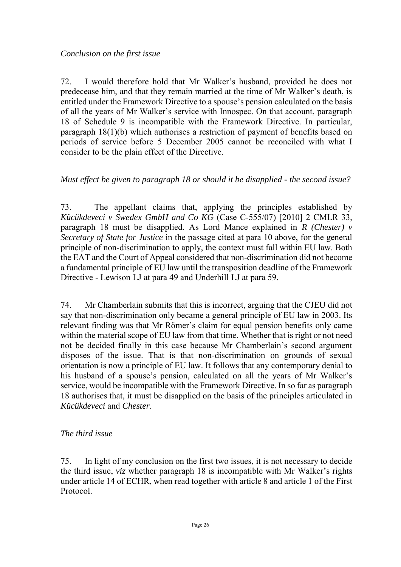72. I would therefore hold that Mr Walker's husband, provided he does not predecease him, and that they remain married at the time of Mr Walker's death, is entitled under the Framework Directive to a spouse's pension calculated on the basis of all the years of Mr Walker's service with Innospec. On that account, paragraph 18 of Schedule 9 is incompatible with the Framework Directive. In particular, paragraph 18(1)(b) which authorises a restriction of payment of benefits based on periods of service before 5 December 2005 cannot be reconciled with what I consider to be the plain effect of the Directive.

### *Must effect be given to paragraph 18 or should it be disapplied - the second issue?*

73. The appellant claims that, applying the principles established by *Kücükdeveci v Swedex GmbH and Co KG* (Case C-555/07) [2010] 2 CMLR 33, paragraph 18 must be disapplied. As Lord Mance explained in *R (Chester) v Secretary of State for Justice* in the passage cited at para 10 above, for the general principle of non-discrimination to apply, the context must fall within EU law. Both the EAT and the Court of Appeal considered that non-discrimination did not become a fundamental principle of EU law until the transposition deadline of the Framework Directive - Lewison LJ at para 49 and Underhill LJ at para 59.

74. Mr Chamberlain submits that this is incorrect, arguing that the CJEU did not say that non-discrimination only became a general principle of EU law in 2003. Its relevant finding was that Mr Römer's claim for equal pension benefits only came within the material scope of EU law from that time. Whether that is right or not need not be decided finally in this case because Mr Chamberlain's second argument disposes of the issue. That is that non-discrimination on grounds of sexual orientation is now a principle of EU law. It follows that any contemporary denial to his husband of a spouse's pension, calculated on all the years of Mr Walker's service, would be incompatible with the Framework Directive. In so far as paragraph 18 authorises that, it must be disapplied on the basis of the principles articulated in *Kücükdeveci* and *Chester*.

#### *The third issue*

75. In light of my conclusion on the first two issues, it is not necessary to decide the third issue, *viz* whether paragraph 18 is incompatible with Mr Walker's rights under article 14 of ECHR, when read together with article 8 and article 1 of the First Protocol.